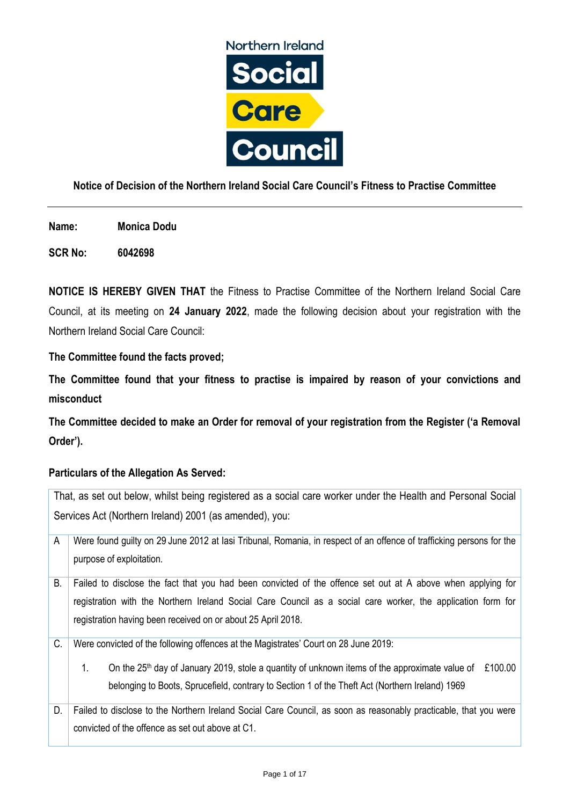

## **Notice of Decision of the Northern Ireland Social Care Council's Fitness to Practise Committee**

**Name: Monica Dodu**

**SCR No: 6042698**

**NOTICE IS HEREBY GIVEN THAT** the Fitness to Practise Committee of the Northern Ireland Social Care Council, at its meeting on **24 January 2022**, made the following decision about your registration with the Northern Ireland Social Care Council:

**The Committee found the facts proved;**

**The Committee found that your fitness to practise is impaired by reason of your convictions and misconduct**

**The Committee decided to make an Order for removal of your registration from the Register ('a Removal Order').**

## **Particulars of the Allegation As Served:**

| That, as set out below, whilst being registered as a social care worker under the Health and Personal Social |                                                                                                                                                                                                                                                                                                             |  |
|--------------------------------------------------------------------------------------------------------------|-------------------------------------------------------------------------------------------------------------------------------------------------------------------------------------------------------------------------------------------------------------------------------------------------------------|--|
| Services Act (Northern Ireland) 2001 (as amended), you:                                                      |                                                                                                                                                                                                                                                                                                             |  |
| Α                                                                                                            | Were found guilty on 29 June 2012 at lasi Tribunal, Romania, in respect of an offence of trafficking persons for the<br>purpose of exploitation.                                                                                                                                                            |  |
| В.                                                                                                           | Failed to disclose the fact that you had been convicted of the offence set out at A above when applying for<br>registration with the Northern Ireland Social Care Council as a social care worker, the application form for<br>registration having been received on or about 25 April 2018.                 |  |
| C.                                                                                                           | Were convicted of the following offences at the Magistrates' Court on 28 June 2019:<br>£100.00<br>On the $25th$ day of January 2019, stole a quantity of unknown items of the approximate value of<br>1.<br>belonging to Boots, Sprucefield, contrary to Section 1 of the Theft Act (Northern Ireland) 1969 |  |
| D.                                                                                                           | Failed to disclose to the Northern Ireland Social Care Council, as soon as reasonably practicable, that you were<br>convicted of the offence as set out above at C1.                                                                                                                                        |  |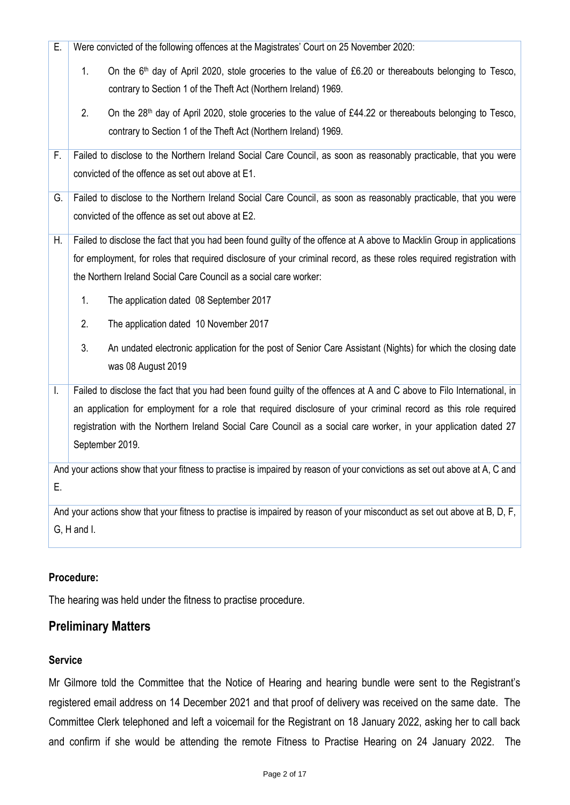| Е.                                                                                                                         | Were convicted of the following offences at the Magistrates' Court on 25 November 2020:                                    |  |
|----------------------------------------------------------------------------------------------------------------------------|----------------------------------------------------------------------------------------------------------------------------|--|
|                                                                                                                            | On the 6 <sup>th</sup> day of April 2020, stole groceries to the value of £6.20 or thereabouts belonging to Tesco,<br>1.   |  |
|                                                                                                                            | contrary to Section 1 of the Theft Act (Northern Ireland) 1969.                                                            |  |
|                                                                                                                            | 2.<br>On the 28 <sup>th</sup> day of April 2020, stole groceries to the value of £44.22 or thereabouts belonging to Tesco, |  |
|                                                                                                                            | contrary to Section 1 of the Theft Act (Northern Ireland) 1969.                                                            |  |
| F.                                                                                                                         | Failed to disclose to the Northern Ireland Social Care Council, as soon as reasonably practicable, that you were           |  |
|                                                                                                                            | convicted of the offence as set out above at E1.                                                                           |  |
| G.                                                                                                                         | Failed to disclose to the Northern Ireland Social Care Council, as soon as reasonably practicable, that you were           |  |
|                                                                                                                            | convicted of the offence as set out above at E2.                                                                           |  |
| Н.                                                                                                                         | Failed to disclose the fact that you had been found guilty of the offence at A above to Macklin Group in applications      |  |
|                                                                                                                            | for employment, for roles that required disclosure of your criminal record, as these roles required registration with      |  |
|                                                                                                                            | the Northern Ireland Social Care Council as a social care worker:                                                          |  |
|                                                                                                                            | 1.<br>The application dated 08 September 2017                                                                              |  |
|                                                                                                                            | 2.<br>The application dated 10 November 2017                                                                               |  |
|                                                                                                                            | 3.<br>An undated electronic application for the post of Senior Care Assistant (Nights) for which the closing date          |  |
|                                                                                                                            | was 08 August 2019                                                                                                         |  |
| I.                                                                                                                         | Failed to disclose the fact that you had been found guilty of the offences at A and C above to Filo International, in      |  |
|                                                                                                                            | an application for employment for a role that required disclosure of your criminal record as this role required            |  |
|                                                                                                                            | registration with the Northern Ireland Social Care Council as a social care worker, in your application dated 27           |  |
|                                                                                                                            | September 2019.                                                                                                            |  |
| And your actions show that your fitness to practise is impaired by reason of your convictions as set out above at A, C and |                                                                                                                            |  |
| E.                                                                                                                         |                                                                                                                            |  |
|                                                                                                                            | And your actions show that your fitness to practise is impaired by reason of your misconduct as set out above at B, D, F,  |  |

## G, H and I.

## **Procedure:**

The hearing was held under the fitness to practise procedure.

# **Preliminary Matters**

## **Service**

Mr Gilmore told the Committee that the Notice of Hearing and hearing bundle were sent to the Registrant's registered email address on 14 December 2021 and that proof of delivery was received on the same date. The Committee Clerk telephoned and left a voicemail for the Registrant on 18 January 2022, asking her to call back and confirm if she would be attending the remote Fitness to Practise Hearing on 24 January 2022. The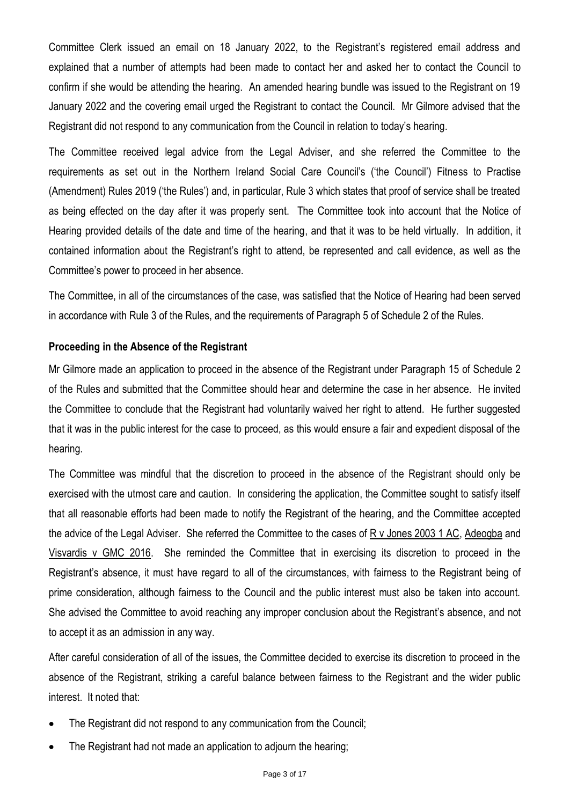Committee Clerk issued an email on 18 January 2022, to the Registrant's registered email address and explained that a number of attempts had been made to contact her and asked her to contact the Council to confirm if she would be attending the hearing. An amended hearing bundle was issued to the Registrant on 19 January 2022 and the covering email urged the Registrant to contact the Council. Mr Gilmore advised that the Registrant did not respond to any communication from the Council in relation to today's hearing.

The Committee received legal advice from the Legal Adviser, and she referred the Committee to the requirements as set out in the Northern Ireland Social Care Council's ('the Council') Fitness to Practise (Amendment) Rules 2019 ('the Rules') and, in particular, Rule 3 which states that proof of service shall be treated as being effected on the day after it was properly sent. The Committee took into account that the Notice of Hearing provided details of the date and time of the hearing, and that it was to be held virtually. In addition, it contained information about the Registrant's right to attend, be represented and call evidence, as well as the Committee's power to proceed in her absence.

The Committee, in all of the circumstances of the case, was satisfied that the Notice of Hearing had been served in accordance with Rule 3 of the Rules, and the requirements of Paragraph 5 of Schedule 2 of the Rules.

### **Proceeding in the Absence of the Registrant**

Mr Gilmore made an application to proceed in the absence of the Registrant under Paragraph 15 of Schedule 2 of the Rules and submitted that the Committee should hear and determine the case in her absence. He invited the Committee to conclude that the Registrant had voluntarily waived her right to attend. He further suggested that it was in the public interest for the case to proceed, as this would ensure a fair and expedient disposal of the hearing.

The Committee was mindful that the discretion to proceed in the absence of the Registrant should only be exercised with the utmost care and caution. In considering the application, the Committee sought to satisfy itself that all reasonable efforts had been made to notify the Registrant of the hearing, and the Committee accepted the advice of the Legal Adviser. She referred the Committee to the cases of R v Jones 2003 1 AC, Adeogba and Visvardis v GMC 2016. She reminded the Committee that in exercising its discretion to proceed in the Registrant's absence, it must have regard to all of the circumstances, with fairness to the Registrant being of prime consideration, although fairness to the Council and the public interest must also be taken into account. She advised the Committee to avoid reaching any improper conclusion about the Registrant's absence, and not to accept it as an admission in any way.

After careful consideration of all of the issues, the Committee decided to exercise its discretion to proceed in the absence of the Registrant, striking a careful balance between fairness to the Registrant and the wider public interest. It noted that:

- The Registrant did not respond to any communication from the Council;
- The Registrant had not made an application to adjourn the hearing;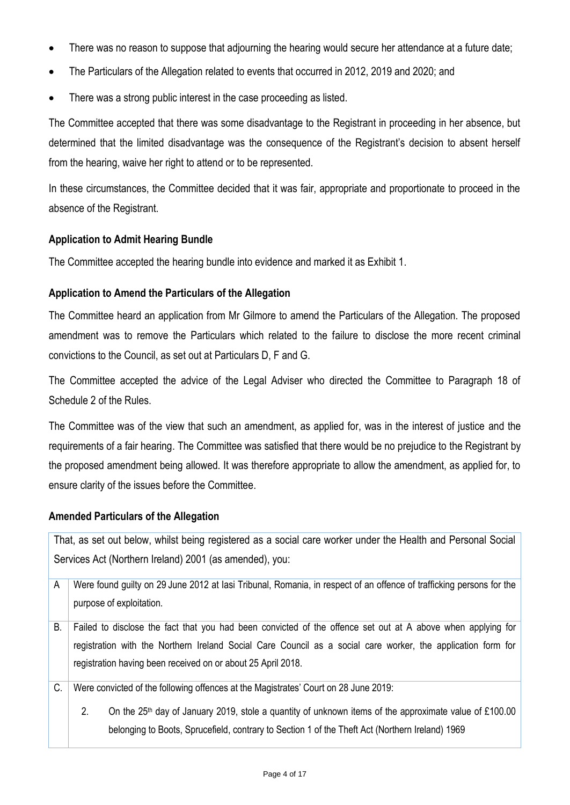- There was no reason to suppose that adjourning the hearing would secure her attendance at a future date;
- The Particulars of the Allegation related to events that occurred in 2012, 2019 and 2020; and
- There was a strong public interest in the case proceeding as listed.

The Committee accepted that there was some disadvantage to the Registrant in proceeding in her absence, but determined that the limited disadvantage was the consequence of the Registrant's decision to absent herself from the hearing, waive her right to attend or to be represented.

In these circumstances, the Committee decided that it was fair, appropriate and proportionate to proceed in the absence of the Registrant.

### **Application to Admit Hearing Bundle**

The Committee accepted the hearing bundle into evidence and marked it as Exhibit 1.

#### **Application to Amend the Particulars of the Allegation**

The Committee heard an application from Mr Gilmore to amend the Particulars of the Allegation. The proposed amendment was to remove the Particulars which related to the failure to disclose the more recent criminal convictions to the Council, as set out at Particulars D, F and G.

The Committee accepted the advice of the Legal Adviser who directed the Committee to Paragraph 18 of Schedule 2 of the Rules.

The Committee was of the view that such an amendment, as applied for, was in the interest of justice and the requirements of a fair hearing. The Committee was satisfied that there would be no prejudice to the Registrant by the proposed amendment being allowed. It was therefore appropriate to allow the amendment, as applied for, to ensure clarity of the issues before the Committee.

#### **Amended Particulars of the Allegation**

That, as set out below, whilst being registered as a social care worker under the Health and Personal Social Services Act (Northern Ireland) 2001 (as amended), you:

- A Were found guilty on 29 June 2012 at Iasi Tribunal, Romania, in respect of an offence of trafficking persons for the purpose of exploitation.
- B. Failed to disclose the fact that you had been convicted of the offence set out at A above when applying for registration with the Northern Ireland Social Care Council as a social care worker, the application form for registration having been received on or about 25 April 2018.
- C. Were convicted of the following offences at the Magistrates' Court on 28 June 2019:
	- 2. On the 25<sup>th</sup> day of January 2019, stole a quantity of unknown items of the approximate value of £100.00 belonging to Boots, Sprucefield, contrary to Section 1 of the Theft Act (Northern Ireland) 1969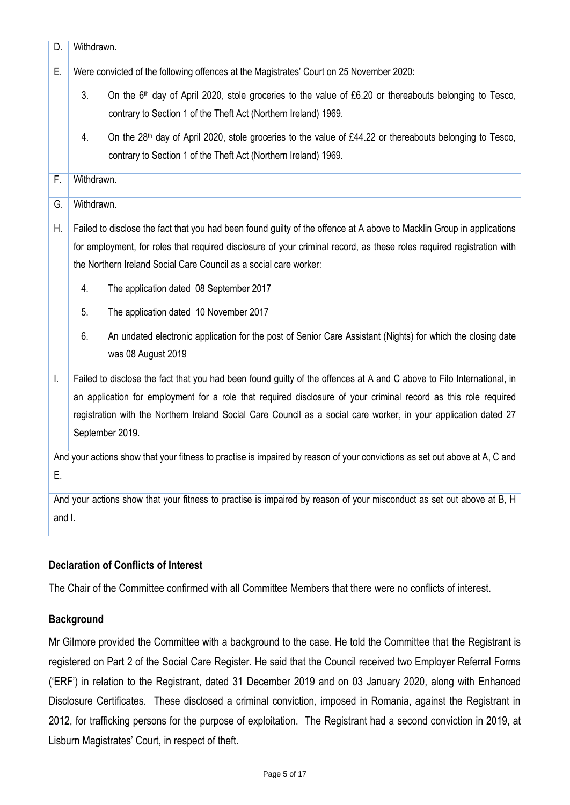| D.     | Withdrawn.                                                                                                                              |  |
|--------|-----------------------------------------------------------------------------------------------------------------------------------------|--|
| E.     | Were convicted of the following offences at the Magistrates' Court on 25 November 2020:                                                 |  |
|        | 3.<br>On the 6 <sup>th</sup> day of April 2020, stole groceries to the value of £6.20 or thereabouts belonging to Tesco,                |  |
|        | contrary to Section 1 of the Theft Act (Northern Ireland) 1969.                                                                         |  |
|        | 4.<br>On the 28 <sup>th</sup> day of April 2020, stole groceries to the value of £44.22 or thereabouts belonging to Tesco,              |  |
|        | contrary to Section 1 of the Theft Act (Northern Ireland) 1969.                                                                         |  |
| F.     | Withdrawn.                                                                                                                              |  |
| G.     | Withdrawn.                                                                                                                              |  |
| Η.     | Failed to disclose the fact that you had been found guilty of the offence at A above to Macklin Group in applications                   |  |
|        | for employment, for roles that required disclosure of your criminal record, as these roles required registration with                   |  |
|        | the Northern Ireland Social Care Council as a social care worker:                                                                       |  |
|        | 4.<br>The application dated 08 September 2017                                                                                           |  |
|        | 5.<br>The application dated 10 November 2017                                                                                            |  |
|        | 6.<br>An undated electronic application for the post of Senior Care Assistant (Nights) for which the closing date<br>was 08 August 2019 |  |
| I.     | Failed to disclose the fact that you had been found guilty of the offences at A and C above to Filo International, in                   |  |
|        | an application for employment for a role that required disclosure of your criminal record as this role required                         |  |
|        | registration with the Northern Ireland Social Care Council as a social care worker, in your application dated 27                        |  |
|        | September 2019.                                                                                                                         |  |
|        | And your actions show that your fitness to practise is impaired by reason of your convictions as set out above at A, C and              |  |
| Ε.     |                                                                                                                                         |  |
|        | And your actions show that your fitness to practise is impaired by reason of your misconduct as set out above at B, H                   |  |
| and I. |                                                                                                                                         |  |

## **Declaration of Conflicts of Interest**

The Chair of the Committee confirmed with all Committee Members that there were no conflicts of interest.

## **Background**

Mr Gilmore provided the Committee with a background to the case. He told the Committee that the Registrant is registered on Part 2 of the Social Care Register. He said that the Council received two Employer Referral Forms ('ERF') in relation to the Registrant, dated 31 December 2019 and on 03 January 2020, along with Enhanced Disclosure Certificates. These disclosed a criminal conviction, imposed in Romania, against the Registrant in 2012, for trafficking persons for the purpose of exploitation. The Registrant had a second conviction in 2019, at Lisburn Magistrates' Court, in respect of theft.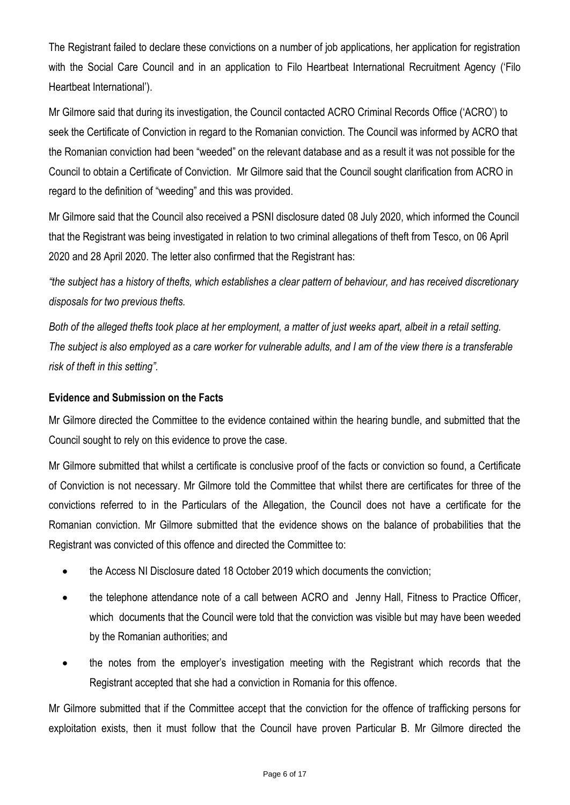The Registrant failed to declare these convictions on a number of job applications, her application for registration with the Social Care Council and in an application to Filo Heartbeat International Recruitment Agency ('Filo Heartbeat International').

Mr Gilmore said that during its investigation, the Council contacted ACRO Criminal Records Office ('ACRO') to seek the Certificate of Conviction in regard to the Romanian conviction. The Council was informed by ACRO that the Romanian conviction had been "weeded" on the relevant database and as a result it was not possible for the Council to obtain a Certificate of Conviction. Mr Gilmore said that the Council sought clarification from ACRO in regard to the definition of "weeding" and this was provided.

Mr Gilmore said that the Council also received a PSNI disclosure dated 08 July 2020, which informed the Council that the Registrant was being investigated in relation to two criminal allegations of theft from Tesco, on 06 April 2020 and 28 April 2020. The letter also confirmed that the Registrant has:

*"the subject has a history of thefts, which establishes a clear pattern of behaviour, and has received discretionary disposals for two previous thefts.* 

*Both of the alleged thefts took place at her employment, a matter of just weeks apart, albeit in a retail setting. The subject is also employed as a care worker for vulnerable adults, and I am of the view there is a transferable risk of theft in this setting".* 

## **Evidence and Submission on the Facts**

Mr Gilmore directed the Committee to the evidence contained within the hearing bundle, and submitted that the Council sought to rely on this evidence to prove the case.

Mr Gilmore submitted that whilst a certificate is conclusive proof of the facts or conviction so found, a Certificate of Conviction is not necessary. Mr Gilmore told the Committee that whilst there are certificates for three of the convictions referred to in the Particulars of the Allegation, the Council does not have a certificate for the Romanian conviction. Mr Gilmore submitted that the evidence shows on the balance of probabilities that the Registrant was convicted of this offence and directed the Committee to:

- the Access NI Disclosure dated 18 October 2019 which documents the conviction;
- the telephone attendance note of a call between ACRO and Jenny Hall, Fitness to Practice Officer, which documents that the Council were told that the conviction was visible but may have been weeded by the Romanian authorities; and
- the notes from the employer's investigation meeting with the Registrant which records that the Registrant accepted that she had a conviction in Romania for this offence.

Mr Gilmore submitted that if the Committee accept that the conviction for the offence of trafficking persons for exploitation exists, then it must follow that the Council have proven Particular B. Mr Gilmore directed the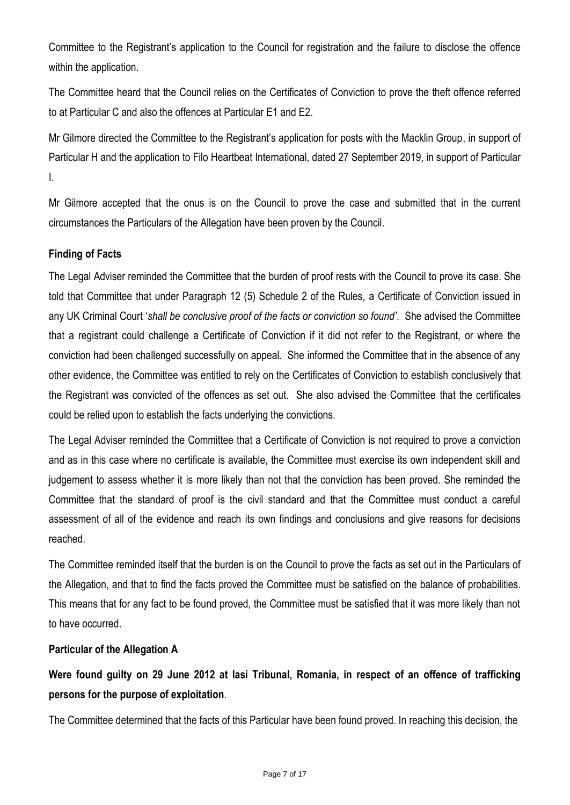Committee to the Registrant's application to the Council for registration and the failure to disclose the offence within the application.

The Committee heard that the Council relies on the Certificates of Conviction to prove the theft offence referred to at Particular C and also the offences at Particular E1 and E2.

Mr Gilmore directed the Committee to the Registrant's application for posts with the Macklin Group, in support of Particular H and the application to Filo Heartbeat International, dated 27 September 2019, in support of Particular I.

Mr Gilmore accepted that the onus is on the Council to prove the case and submitted that in the current circumstances the Particulars of the Allegation have been proven by the Council.

## **Finding of Facts**

The Legal Adviser reminded the Committee that the burden of proof rests with the Council to prove its case. She told that Committee that under Paragraph 12 (5) Schedule 2 of the Rules, a Certificate of Conviction issued in any UK Criminal Court '*shall be conclusive proof of the facts or conviction so found'*. She advised the Committee that a registrant could challenge a Certificate of Conviction if it did not refer to the Registrant, or where the conviction had been challenged successfully on appeal. She informed the Committee that in the absence of any other evidence, the Committee was entitled to rely on the Certificates of Conviction to establish conclusively that the Registrant was convicted of the offences as set out. She also advised the Committee that the certificates could be relied upon to establish the facts underlying the convictions.

The Legal Adviser reminded the Committee that a Certificate of Conviction is not required to prove a conviction and as in this case where no certificate is available, the Committee must exercise its own independent skill and judgement to assess whether it is more likely than not that the conviction has been proved. She reminded the Committee that the standard of proof is the civil standard and that the Committee must conduct a careful assessment of all of the evidence and reach its own findings and conclusions and give reasons for decisions reached.

The Committee reminded itself that the burden is on the Council to prove the facts as set out in the Particulars of the Allegation, and that to find the facts proved the Committee must be satisfied on the balance of probabilities. This means that for any fact to be found proved, the Committee must be satisfied that it was more likely than not to have occurred.

### **Particular of the Allegation A**

**Were found guilty on 29 June 2012 at Iasi Tribunal, Romania, in respect of an offence of trafficking persons for the purpose of exploitation**.

The Committee determined that the facts of this Particular have been found proved. In reaching this decision, the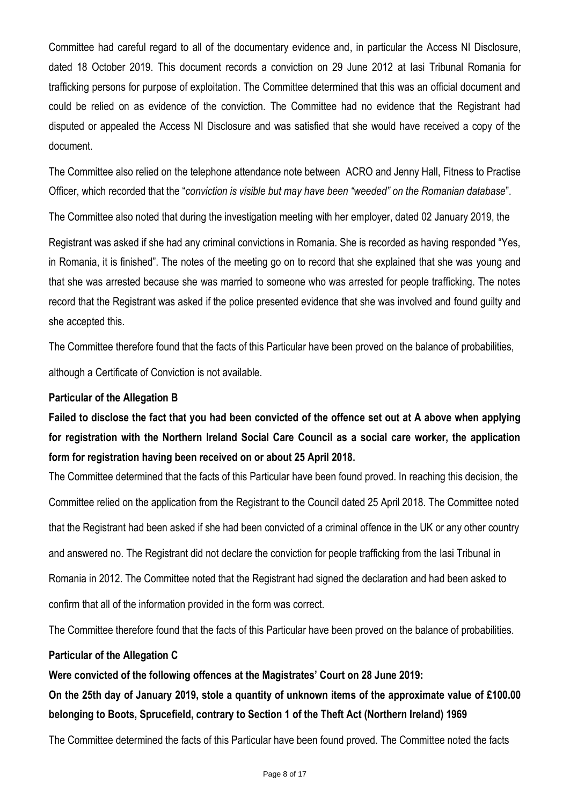Committee had careful regard to all of the documentary evidence and, in particular the Access NI Disclosure, dated 18 October 2019. This document records a conviction on 29 June 2012 at Iasi Tribunal Romania for trafficking persons for purpose of exploitation. The Committee determined that this was an official document and could be relied on as evidence of the conviction. The Committee had no evidence that the Registrant had disputed or appealed the Access NI Disclosure and was satisfied that she would have received a copy of the document.

The Committee also relied on the telephone attendance note between ACRO and Jenny Hall, Fitness to Practise Officer, which recorded that the "*conviction is visible but may have been "weeded" on the Romanian database*".

The Committee also noted that during the investigation meeting with her employer, dated 02 January 2019, the

Registrant was asked if she had any criminal convictions in Romania. She is recorded as having responded "Yes, in Romania, it is finished". The notes of the meeting go on to record that she explained that she was young and that she was arrested because she was married to someone who was arrested for people trafficking. The notes record that the Registrant was asked if the police presented evidence that she was involved and found guilty and she accepted this.

The Committee therefore found that the facts of this Particular have been proved on the balance of probabilities,

although a Certificate of Conviction is not available.

### **Particular of the Allegation B**

**Failed to disclose the fact that you had been convicted of the offence set out at A above when applying for registration with the Northern Ireland Social Care Council as a social care worker, the application form for registration having been received on or about 25 April 2018.**

The Committee determined that the facts of this Particular have been found proved. In reaching this decision, the Committee relied on the application from the Registrant to the Council dated 25 April 2018. The Committee noted that the Registrant had been asked if she had been convicted of a criminal offence in the UK or any other country and answered no. The Registrant did not declare the conviction for people trafficking from the Iasi Tribunal in Romania in 2012. The Committee noted that the Registrant had signed the declaration and had been asked to confirm that all of the information provided in the form was correct.

The Committee therefore found that the facts of this Particular have been proved on the balance of probabilities.

### **Particular of the Allegation C**

**Were convicted of the following offences at the Magistrates' Court on 28 June 2019:**

**On the 25th day of January 2019, stole a quantity of unknown items of the approximate value of £100.00 belonging to Boots, Sprucefield, contrary to Section 1 of the Theft Act (Northern Ireland) 1969**

The Committee determined the facts of this Particular have been found proved. The Committee noted the facts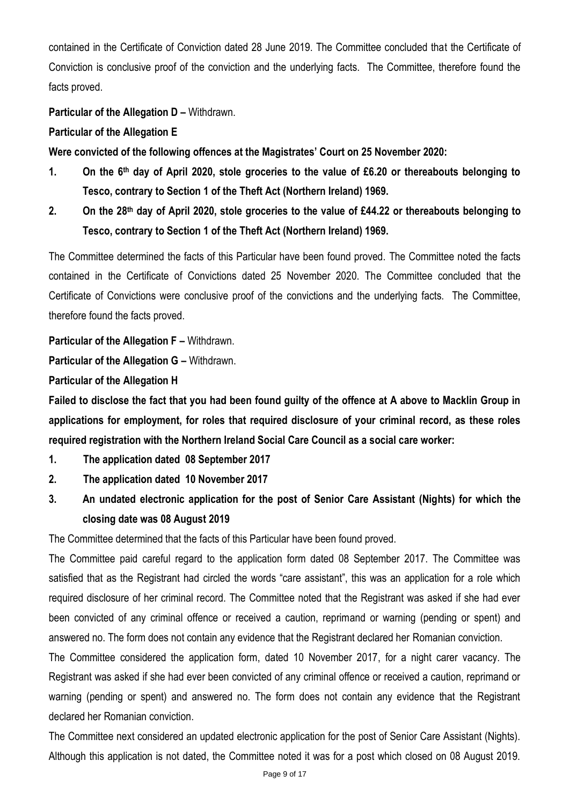contained in the Certificate of Conviction dated 28 June 2019. The Committee concluded that the Certificate of Conviction is conclusive proof of the conviction and the underlying facts. The Committee, therefore found the facts proved.

## **Particular of the Allegation D - Withdrawn.**

#### **Particular of the Allegation E**

**Were convicted of the following offences at the Magistrates' Court on 25 November 2020:**

- **1. On the 6th day of April 2020, stole groceries to the value of £6.20 or thereabouts belonging to Tesco, contrary to Section 1 of the Theft Act (Northern Ireland) 1969.**
- **2. On the 28th day of April 2020, stole groceries to the value of £44.22 or thereabouts belonging to Tesco, contrary to Section 1 of the Theft Act (Northern Ireland) 1969.**

The Committee determined the facts of this Particular have been found proved. The Committee noted the facts contained in the Certificate of Convictions dated 25 November 2020. The Committee concluded that the Certificate of Convictions were conclusive proof of the convictions and the underlying facts. The Committee, therefore found the facts proved.

**Particular of the Allegation F - Withdrawn.** 

**Particular of the Allegation G - Withdrawn.** 

**Particular of the Allegation H**

**Failed to disclose the fact that you had been found guilty of the offence at A above to Macklin Group in applications for employment, for roles that required disclosure of your criminal record, as these roles required registration with the Northern Ireland Social Care Council as a social care worker:**

- **1. The application dated 08 September 2017**
- **2. The application dated 10 November 2017**
- **3. An undated electronic application for the post of Senior Care Assistant (Nights) for which the closing date was 08 August 2019**

The Committee determined that the facts of this Particular have been found proved.

The Committee paid careful regard to the application form dated 08 September 2017. The Committee was satisfied that as the Registrant had circled the words "care assistant", this was an application for a role which required disclosure of her criminal record. The Committee noted that the Registrant was asked if she had ever been convicted of any criminal offence or received a caution, reprimand or warning (pending or spent) and answered no. The form does not contain any evidence that the Registrant declared her Romanian conviction.

The Committee considered the application form, dated 10 November 2017, for a night carer vacancy. The Registrant was asked if she had ever been convicted of any criminal offence or received a caution, reprimand or warning (pending or spent) and answered no. The form does not contain any evidence that the Registrant declared her Romanian conviction.

The Committee next considered an updated electronic application for the post of Senior Care Assistant (Nights). Although this application is not dated, the Committee noted it was for a post which closed on 08 August 2019.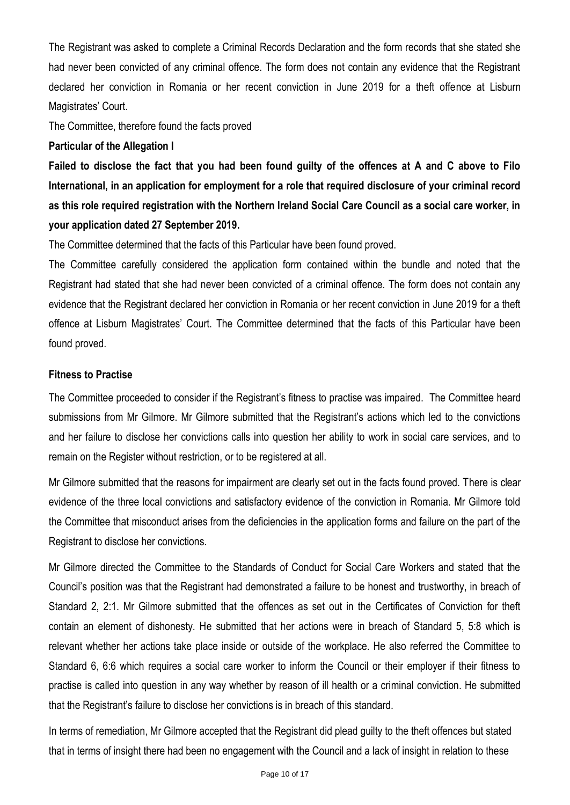The Registrant was asked to complete a Criminal Records Declaration and the form records that she stated she had never been convicted of any criminal offence. The form does not contain any evidence that the Registrant declared her conviction in Romania or her recent conviction in June 2019 for a theft offence at Lisburn Magistrates' Court.

The Committee, therefore found the facts proved

### **Particular of the Allegation I**

**Failed to disclose the fact that you had been found guilty of the offences at A and C above to Filo International, in an application for employment for a role that required disclosure of your criminal record as this role required registration with the Northern Ireland Social Care Council as a social care worker, in your application dated 27 September 2019.**

The Committee determined that the facts of this Particular have been found proved.

The Committee carefully considered the application form contained within the bundle and noted that the Registrant had stated that she had never been convicted of a criminal offence. The form does not contain any evidence that the Registrant declared her conviction in Romania or her recent conviction in June 2019 for a theft offence at Lisburn Magistrates' Court. The Committee determined that the facts of this Particular have been found proved.

### **Fitness to Practise**

The Committee proceeded to consider if the Registrant's fitness to practise was impaired. The Committee heard submissions from Mr Gilmore. Mr Gilmore submitted that the Registrant's actions which led to the convictions and her failure to disclose her convictions calls into question her ability to work in social care services, and to remain on the Register without restriction, or to be registered at all.

Mr Gilmore submitted that the reasons for impairment are clearly set out in the facts found proved. There is clear evidence of the three local convictions and satisfactory evidence of the conviction in Romania. Mr Gilmore told the Committee that misconduct arises from the deficiencies in the application forms and failure on the part of the Registrant to disclose her convictions.

Mr Gilmore directed the Committee to the Standards of Conduct for Social Care Workers and stated that the Council's position was that the Registrant had demonstrated a failure to be honest and trustworthy, in breach of Standard 2, 2:1. Mr Gilmore submitted that the offences as set out in the Certificates of Conviction for theft contain an element of dishonesty. He submitted that her actions were in breach of Standard 5, 5:8 which is relevant whether her actions take place inside or outside of the workplace. He also referred the Committee to Standard 6, 6:6 which requires a social care worker to inform the Council or their employer if their fitness to practise is called into question in any way whether by reason of ill health or a criminal conviction. He submitted that the Registrant's failure to disclose her convictions is in breach of this standard.

In terms of remediation, Mr Gilmore accepted that the Registrant did plead guilty to the theft offences but stated that in terms of insight there had been no engagement with the Council and a lack of insight in relation to these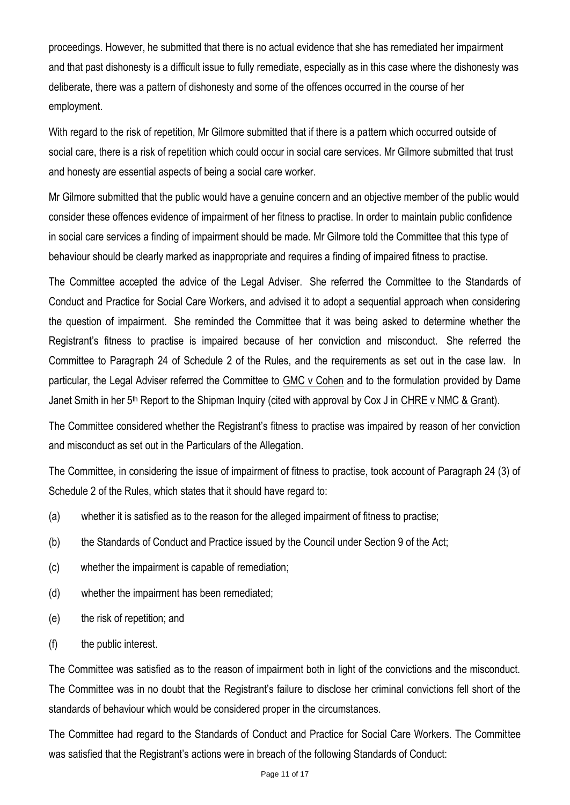proceedings. However, he submitted that there is no actual evidence that she has remediated her impairment and that past dishonesty is a difficult issue to fully remediate, especially as in this case where the dishonesty was deliberate, there was a pattern of dishonesty and some of the offences occurred in the course of her employment.

With regard to the risk of repetition, Mr Gilmore submitted that if there is a pattern which occurred outside of social care, there is a risk of repetition which could occur in social care services. Mr Gilmore submitted that trust and honesty are essential aspects of being a social care worker.

Mr Gilmore submitted that the public would have a genuine concern and an objective member of the public would consider these offences evidence of impairment of her fitness to practise. In order to maintain public confidence in social care services a finding of impairment should be made. Mr Gilmore told the Committee that this type of behaviour should be clearly marked as inappropriate and requires a finding of impaired fitness to practise.

The Committee accepted the advice of the Legal Adviser. She referred the Committee to the Standards of Conduct and Practice for Social Care Workers, and advised it to adopt a sequential approach when considering the question of impairment. She reminded the Committee that it was being asked to determine whether the Registrant's fitness to practise is impaired because of her conviction and misconduct. She referred the Committee to Paragraph 24 of Schedule 2 of the Rules, and the requirements as set out in the case law. In particular, the Legal Adviser referred the Committee to GMC v Cohen and to the formulation provided by Dame Janet Smith in her 5<sup>th</sup> Report to the Shipman Inquiry (cited with approval by Cox J in CHRE v NMC & Grant).

The Committee considered whether the Registrant's fitness to practise was impaired by reason of her conviction and misconduct as set out in the Particulars of the Allegation.

The Committee, in considering the issue of impairment of fitness to practise, took account of Paragraph 24 (3) of Schedule 2 of the Rules, which states that it should have regard to:

- (a) whether it is satisfied as to the reason for the alleged impairment of fitness to practise;
- (b) the Standards of Conduct and Practice issued by the Council under Section 9 of the Act;
- (c) whether the impairment is capable of remediation;
- (d) whether the impairment has been remediated;
- (e) the risk of repetition; and
- (f) the public interest.

The Committee was satisfied as to the reason of impairment both in light of the convictions and the misconduct. The Committee was in no doubt that the Registrant's failure to disclose her criminal convictions fell short of the standards of behaviour which would be considered proper in the circumstances.

The Committee had regard to the Standards of Conduct and Practice for Social Care Workers. The Committee was satisfied that the Registrant's actions were in breach of the following Standards of Conduct: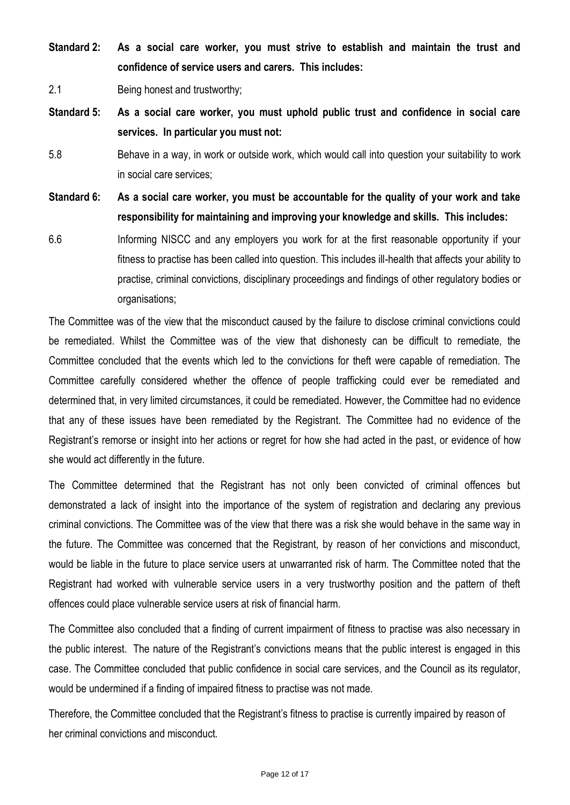**Standard 2: As a social care worker, you must strive to establish and maintain the trust and confidence of service users and carers. This includes:**

2.1 Being honest and trustworthy;

- **Standard 5: As a social care worker, you must uphold public trust and confidence in social care services. In particular you must not:**
- 5.8 Behave in a way, in work or outside work, which would call into question your suitability to work in social care services;

**Standard 6: As a social care worker, you must be accountable for the quality of your work and take responsibility for maintaining and improving your knowledge and skills. This includes:**

6.6 Informing NISCC and any employers you work for at the first reasonable opportunity if your fitness to practise has been called into question. This includes ill-health that affects your ability to practise, criminal convictions, disciplinary proceedings and findings of other regulatory bodies or organisations;

The Committee was of the view that the misconduct caused by the failure to disclose criminal convictions could be remediated. Whilst the Committee was of the view that dishonesty can be difficult to remediate, the Committee concluded that the events which led to the convictions for theft were capable of remediation. The Committee carefully considered whether the offence of people trafficking could ever be remediated and determined that, in very limited circumstances, it could be remediated. However, the Committee had no evidence that any of these issues have been remediated by the Registrant. The Committee had no evidence of the Registrant's remorse or insight into her actions or regret for how she had acted in the past, or evidence of how she would act differently in the future.

The Committee determined that the Registrant has not only been convicted of criminal offences but demonstrated a lack of insight into the importance of the system of registration and declaring any previous criminal convictions. The Committee was of the view that there was a risk she would behave in the same way in the future. The Committee was concerned that the Registrant, by reason of her convictions and misconduct, would be liable in the future to place service users at unwarranted risk of harm. The Committee noted that the Registrant had worked with vulnerable service users in a very trustworthy position and the pattern of theft offences could place vulnerable service users at risk of financial harm.

The Committee also concluded that a finding of current impairment of fitness to practise was also necessary in the public interest. The nature of the Registrant's convictions means that the public interest is engaged in this case. The Committee concluded that public confidence in social care services, and the Council as its regulator, would be undermined if a finding of impaired fitness to practise was not made.

Therefore, the Committee concluded that the Registrant's fitness to practise is currently impaired by reason of her criminal convictions and misconduct.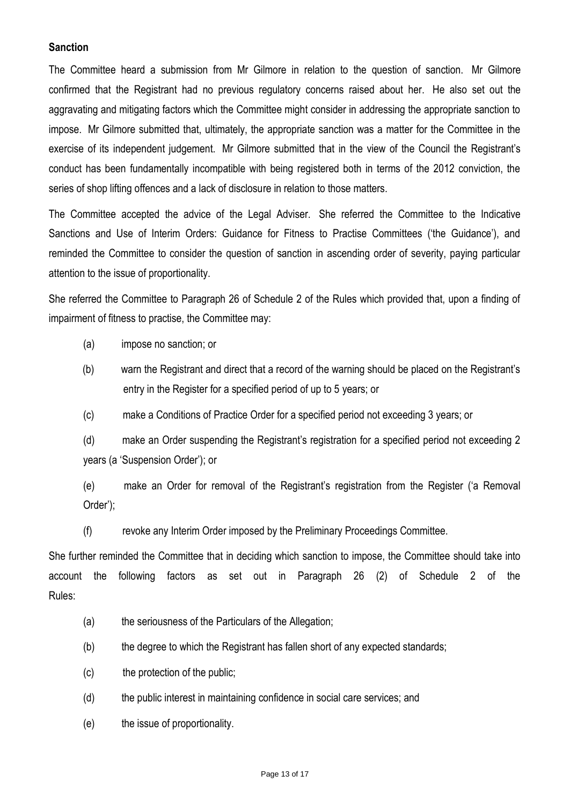### **Sanction**

The Committee heard a submission from Mr Gilmore in relation to the question of sanction. Mr Gilmore confirmed that the Registrant had no previous regulatory concerns raised about her. He also set out the aggravating and mitigating factors which the Committee might consider in addressing the appropriate sanction to impose. Mr Gilmore submitted that, ultimately, the appropriate sanction was a matter for the Committee in the exercise of its independent judgement. Mr Gilmore submitted that in the view of the Council the Registrant's conduct has been fundamentally incompatible with being registered both in terms of the 2012 conviction, the series of shop lifting offences and a lack of disclosure in relation to those matters.

The Committee accepted the advice of the Legal Adviser. She referred the Committee to the Indicative Sanctions and Use of Interim Orders: Guidance for Fitness to Practise Committees ('the Guidance'), and reminded the Committee to consider the question of sanction in ascending order of severity, paying particular attention to the issue of proportionality.

She referred the Committee to Paragraph 26 of Schedule 2 of the Rules which provided that, upon a finding of impairment of fitness to practise, the Committee may:

(a) impose no sanction; or

- (b) warn the Registrant and direct that a record of the warning should be placed on the Registrant's entry in the Register for a specified period of up to 5 years; or
- (c) make a Conditions of Practice Order for a specified period not exceeding 3 years; or

(d) make an Order suspending the Registrant's registration for a specified period not exceeding 2 years (a 'Suspension Order'); or

(e) make an Order for removal of the Registrant's registration from the Register ('a Removal Order');

(f) revoke any Interim Order imposed by the Preliminary Proceedings Committee.

She further reminded the Committee that in deciding which sanction to impose, the Committee should take into account the following factors as set out in Paragraph 26 (2) of Schedule 2 of the Rules:

- (a) the seriousness of the Particulars of the Allegation;
- (b) the degree to which the Registrant has fallen short of any expected standards;
- (c) the protection of the public;
- (d) the public interest in maintaining confidence in social care services; and
- (e) the issue of proportionality.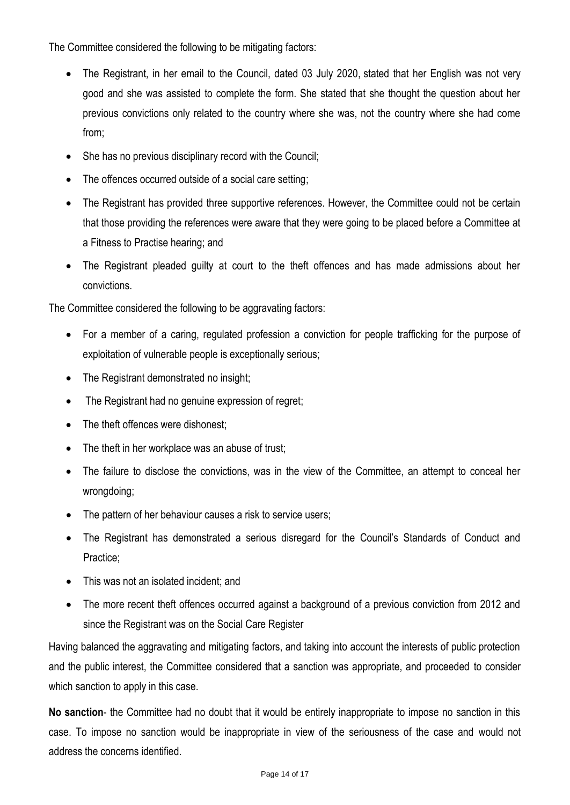The Committee considered the following to be mitigating factors:

- The Registrant, in her email to the Council, dated 03 July 2020, stated that her English was not very good and she was assisted to complete the form. She stated that she thought the question about her previous convictions only related to the country where she was, not the country where she had come from;
- She has no previous disciplinary record with the Council;
- The offences occurred outside of a social care setting;
- The Registrant has provided three supportive references. However, the Committee could not be certain that those providing the references were aware that they were going to be placed before a Committee at a Fitness to Practise hearing; and
- The Registrant pleaded guilty at court to the theft offences and has made admissions about her convictions.

The Committee considered the following to be aggravating factors:

- For a member of a caring, regulated profession a conviction for people trafficking for the purpose of exploitation of vulnerable people is exceptionally serious;
- The Registrant demonstrated no insight;
- The Registrant had no genuine expression of regret;
- The theft offences were dishonest;
- The theft in her workplace was an abuse of trust;
- The failure to disclose the convictions, was in the view of the Committee, an attempt to conceal her wrongdoing;
- The pattern of her behaviour causes a risk to service users;
- The Registrant has demonstrated a serious disregard for the Council's Standards of Conduct and Practice;
- This was not an isolated incident; and
- The more recent theft offences occurred against a background of a previous conviction from 2012 and since the Registrant was on the Social Care Register

Having balanced the aggravating and mitigating factors, and taking into account the interests of public protection and the public interest, the Committee considered that a sanction was appropriate, and proceeded to consider which sanction to apply in this case.

**No sanction**- the Committee had no doubt that it would be entirely inappropriate to impose no sanction in this case. To impose no sanction would be inappropriate in view of the seriousness of the case and would not address the concerns identified.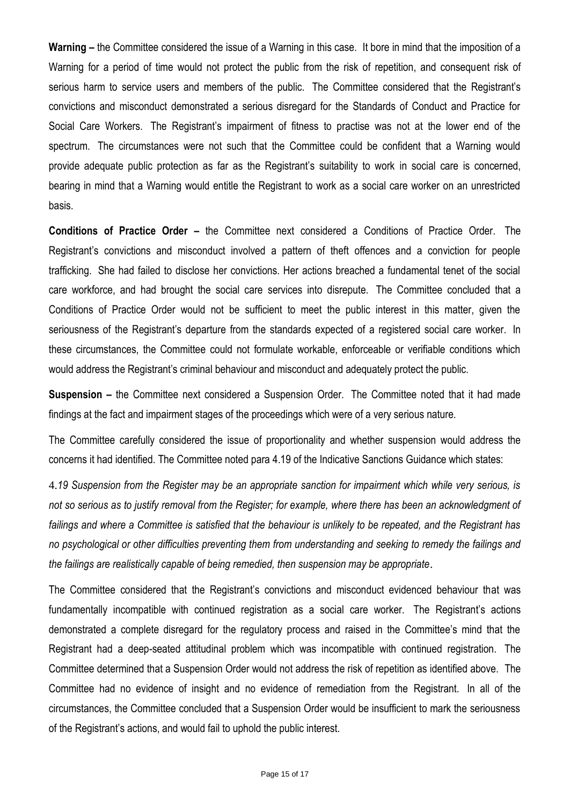**Warning –** the Committee considered the issue of a Warning in this case. It bore in mind that the imposition of a Warning for a period of time would not protect the public from the risk of repetition, and consequent risk of serious harm to service users and members of the public. The Committee considered that the Registrant's convictions and misconduct demonstrated a serious disregard for the Standards of Conduct and Practice for Social Care Workers. The Registrant's impairment of fitness to practise was not at the lower end of the spectrum. The circumstances were not such that the Committee could be confident that a Warning would provide adequate public protection as far as the Registrant's suitability to work in social care is concerned, bearing in mind that a Warning would entitle the Registrant to work as a social care worker on an unrestricted basis.

**Conditions of Practice Order –** the Committee next considered a Conditions of Practice Order. The Registrant's convictions and misconduct involved a pattern of theft offences and a conviction for people trafficking. She had failed to disclose her convictions. Her actions breached a fundamental tenet of the social care workforce, and had brought the social care services into disrepute. The Committee concluded that a Conditions of Practice Order would not be sufficient to meet the public interest in this matter, given the seriousness of the Registrant's departure from the standards expected of a registered social care worker. In these circumstances, the Committee could not formulate workable, enforceable or verifiable conditions which would address the Registrant's criminal behaviour and misconduct and adequately protect the public.

**Suspension –** the Committee next considered a Suspension Order. The Committee noted that it had made findings at the fact and impairment stages of the proceedings which were of a very serious nature.

The Committee carefully considered the issue of proportionality and whether suspension would address the concerns it had identified. The Committee noted para 4.19 of the Indicative Sanctions Guidance which states:

4.*19 Suspension from the Register may be an appropriate sanction for impairment which while very serious, is not so serious as to justify removal from the Register; for example, where there has been an acknowledgment of failings and where a Committee is satisfied that the behaviour is unlikely to be repeated, and the Registrant has no psychological or other difficulties preventing them from understanding and seeking to remedy the failings and the failings are realistically capable of being remedied, then suspension may be appropriate*.

The Committee considered that the Registrant's convictions and misconduct evidenced behaviour that was fundamentally incompatible with continued registration as a social care worker. The Registrant's actions demonstrated a complete disregard for the regulatory process and raised in the Committee's mind that the Registrant had a deep-seated attitudinal problem which was incompatible with continued registration. The Committee determined that a Suspension Order would not address the risk of repetition as identified above. The Committee had no evidence of insight and no evidence of remediation from the Registrant. In all of the circumstances, the Committee concluded that a Suspension Order would be insufficient to mark the seriousness of the Registrant's actions, and would fail to uphold the public interest.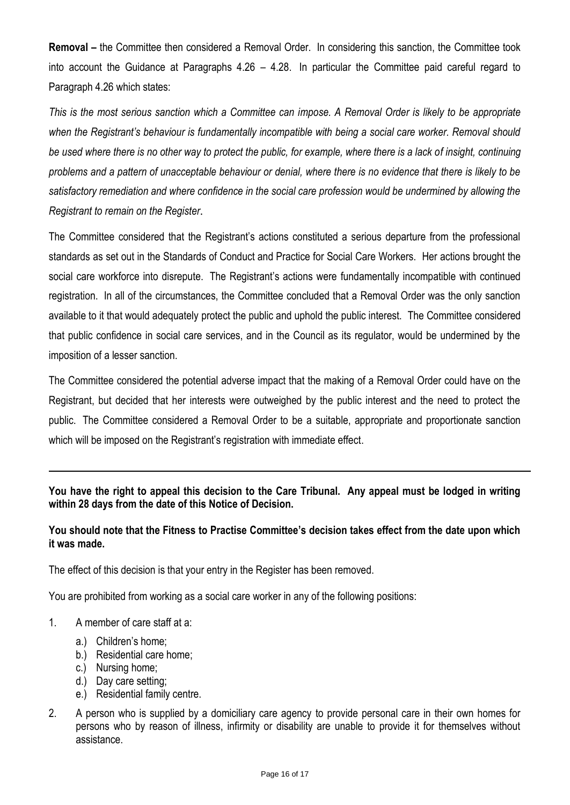**Removal** – the Committee then considered a Removal Order. In considering this sanction, the Committee took into account the Guidance at Paragraphs 4.26 – 4.28. In particular the Committee paid careful regard to Paragraph 4.26 which states:

*This is the most serious sanction which a Committee can impose. A Removal Order is likely to be appropriate*  when the Registrant's behaviour is fundamentally incompatible with being a social care worker. Removal should *be used where there is no other way to protect the public, for example, where there is a lack of insight, continuing problems and a pattern of unacceptable behaviour or denial, where there is no evidence that there is likely to be satisfactory remediation and where confidence in the social care profession would be undermined by allowing the Registrant to remain on the Register*.

The Committee considered that the Registrant's actions constituted a serious departure from the professional standards as set out in the Standards of Conduct and Practice for Social Care Workers. Her actions brought the social care workforce into disrepute. The Registrant's actions were fundamentally incompatible with continued registration. In all of the circumstances, the Committee concluded that a Removal Order was the only sanction available to it that would adequately protect the public and uphold the public interest. The Committee considered that public confidence in social care services, and in the Council as its regulator, would be undermined by the imposition of a lesser sanction.

The Committee considered the potential adverse impact that the making of a Removal Order could have on the Registrant, but decided that her interests were outweighed by the public interest and the need to protect the public. The Committee considered a Removal Order to be a suitable, appropriate and proportionate sanction which will be imposed on the Registrant's registration with immediate effect.

**You have the right to appeal this decision to the Care Tribunal. Any appeal must be lodged in writing within 28 days from the date of this Notice of Decision.**

## **You should note that the Fitness to Practise Committee's decision takes effect from the date upon which it was made.**

The effect of this decision is that your entry in the Register has been removed.

You are prohibited from working as a social care worker in any of the following positions:

- 1. A member of care staff at a:
	- a.) Children's home;
	- b.) Residential care home;
	- c.) Nursing home;
	- d.) Day care setting;
	- e.) Residential family centre.
- 2. A person who is supplied by a domiciliary care agency to provide personal care in their own homes for persons who by reason of illness, infirmity or disability are unable to provide it for themselves without assistance.